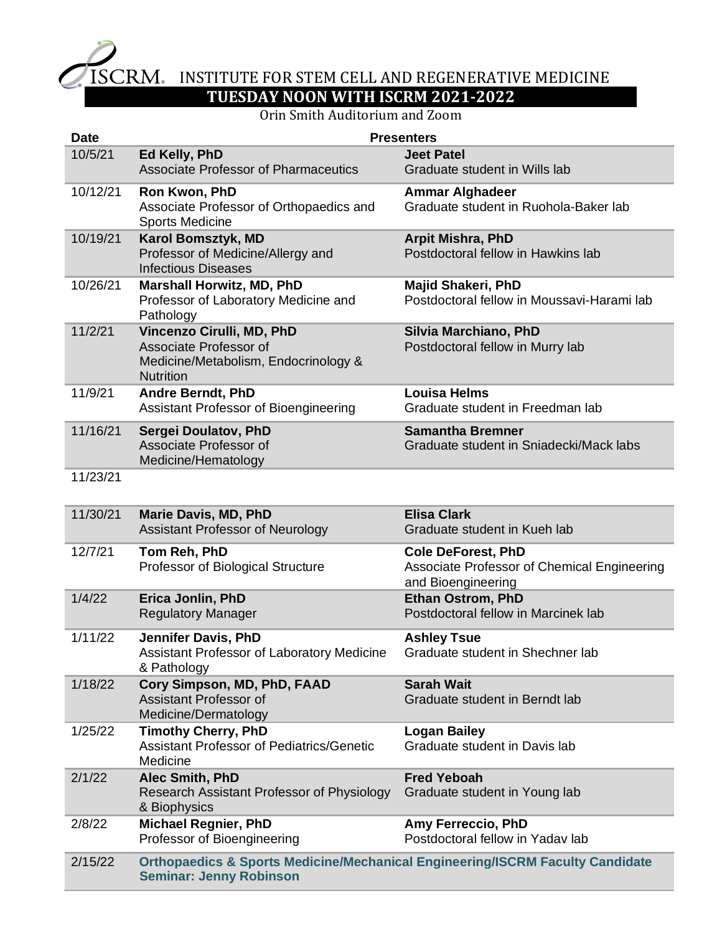

## ISCRM. INSTITUTE FOR STEM CELL AND REGENERATIVE MEDICINE **TUESDAY NOON WITH ISCRM 2021-2022**

## Orin Smith Auditorium and Zoom

| <b>Date</b> | <b>Presenters</b>                                                                                               |                                                                                                |
|-------------|-----------------------------------------------------------------------------------------------------------------|------------------------------------------------------------------------------------------------|
| 10/5/21     | Ed Kelly, PhD<br><b>Associate Professor of Pharmaceutics</b>                                                    | <b>Jeet Patel</b><br>Graduate student in Wills lab                                             |
| 10/12/21    | Ron Kwon, PhD<br>Associate Professor of Orthopaedics and<br><b>Sports Medicine</b>                              | <b>Ammar Alghadeer</b><br>Graduate student in Ruohola-Baker lab                                |
| 10/19/21    | Karol Bomsztyk, MD<br>Professor of Medicine/Allergy and<br><b>Infectious Diseases</b>                           | <b>Arpit Mishra, PhD</b><br>Postdoctoral fellow in Hawkins lab                                 |
| 10/26/21    | <b>Marshall Horwitz, MD, PhD</b><br>Professor of Laboratory Medicine and<br>Pathology                           | <b>Majid Shakeri, PhD</b><br>Postdoctoral fellow in Moussavi-Harami lab                        |
| 11/2/21     | Vincenzo Cirulli, MD, PhD<br>Associate Professor of<br>Medicine/Metabolism, Endocrinology &<br><b>Nutrition</b> | Silvia Marchiano, PhD<br>Postdoctoral fellow in Murry lab                                      |
| 11/9/21     | <b>Andre Berndt, PhD</b><br>Assistant Professor of Bioengineering                                               | <b>Louisa Helms</b><br>Graduate student in Freedman lab                                        |
| 11/16/21    | Sergei Doulatov, PhD<br>Associate Professor of<br>Medicine/Hematology                                           | <b>Samantha Bremner</b><br>Graduate student in Sniadecki/Mack labs                             |
| 11/23/21    |                                                                                                                 |                                                                                                |
| 11/30/21    | <b>Marie Davis, MD, PhD</b><br>Assistant Professor of Neurology                                                 | <b>Elisa Clark</b><br>Graduate student in Kueh lab                                             |
| 12/7/21     | Tom Reh, PhD<br>Professor of Biological Structure                                                               | <b>Cole DeForest, PhD</b><br>Associate Professor of Chemical Engineering<br>and Bioengineering |
| 1/4/22      | Erica Jonlin, PhD<br><b>Regulatory Manager</b>                                                                  | <b>Ethan Ostrom, PhD</b><br>Postdoctoral fellow in Marcinek lab                                |
| 1/11/22     | Jennifer Davis, PhD<br>Assistant Professor of Laboratory Medicine<br>& Pathology                                | <b>Ashley Tsue</b><br>Graduate student in Shechner lab                                         |
| 1/18/22     | Cory Simpson, MD, PhD, FAAD<br>Assistant Professor of<br>Medicine/Dermatology                                   | <b>Sarah Wait</b><br>Graduate student in Berndt lab                                            |
| 1/25/22     | <b>Timothy Cherry, PhD</b><br>Assistant Professor of Pediatrics/Genetic<br>Medicine                             | <b>Logan Bailey</b><br>Graduate student in Davis lab                                           |
| 2/1/22      | <b>Alec Smith, PhD</b><br>Research Assistant Professor of Physiology<br>& Biophysics                            | <b>Fred Yeboah</b><br>Graduate student in Young lab                                            |
| 2/8/22      | <b>Michael Regnier, PhD</b><br>Professor of Bioengineering                                                      | <b>Amy Ferreccio, PhD</b><br>Postdoctoral fellow in Yadav lab                                  |
| 2/15/22     | <b>Orthopaedics &amp; Sports Medicine/Mechanical Engineering/ISCRM Faculty Candidate</b>                        |                                                                                                |